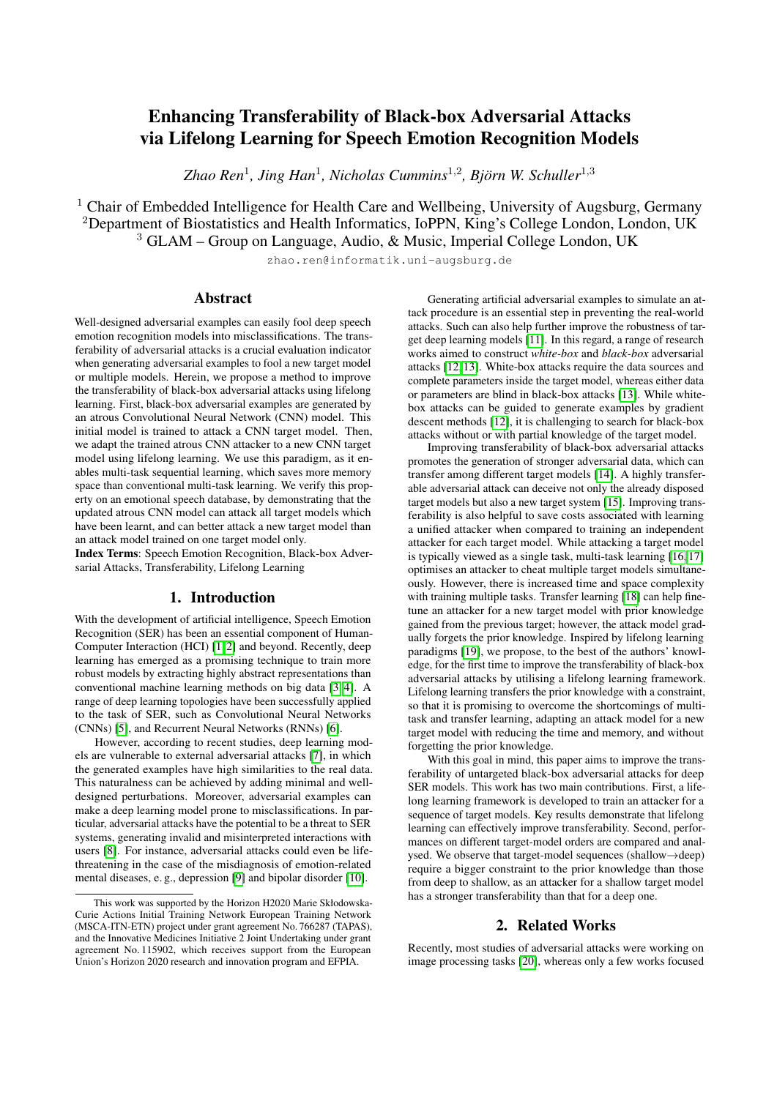# Enhancing Transferability of Black-box Adversarial Attacks via Lifelong Learning for Speech Emotion Recognition Models

Zhao Ren<sup>1</sup>, Jing Han<sup>1</sup>, Nicholas Cummins<sup>1,2</sup>, Björn W. Schuller<sup>1,3</sup>

 $1$  Chair of Embedded Intelligence for Health Care and Wellbeing, University of Augsburg, Germany <sup>2</sup>Department of Biostatistics and Health Informatics, IoPPN, King's College London, London, UK <sup>3</sup> GLAM – Group on Language, Audio, & Music, Imperial College London, UK

zhao.ren@informatik.uni-augsburg.de

# Abstract

Well-designed adversarial examples can easily fool deep speech emotion recognition models into misclassifications. The transferability of adversarial attacks is a crucial evaluation indicator when generating adversarial examples to fool a new target model or multiple models. Herein, we propose a method to improve the transferability of black-box adversarial attacks using lifelong learning. First, black-box adversarial examples are generated by an atrous Convolutional Neural Network (CNN) model. This initial model is trained to attack a CNN target model. Then, we adapt the trained atrous CNN attacker to a new CNN target model using lifelong learning. We use this paradigm, as it enables multi-task sequential learning, which saves more memory space than conventional multi-task learning. We verify this property on an emotional speech database, by demonstrating that the updated atrous CNN model can attack all target models which have been learnt, and can better attack a new target model than an attack model trained on one target model only.

Index Terms: Speech Emotion Recognition, Black-box Adversarial Attacks, Transferability, Lifelong Learning

# 1. Introduction

With the development of artificial intelligence, Speech Emotion Recognition (SER) has been an essential component of Human-Computer Interaction (HCI) [\[1,](#page-4-0) [2\]](#page-4-1) and beyond. Recently, deep learning has emerged as a promising technique to train more robust models by extracting highly abstract representations than conventional machine learning methods on big data [\[3,](#page-4-2) [4\]](#page-4-3). A range of deep learning topologies have been successfully applied to the task of SER, such as Convolutional Neural Networks (CNNs) [\[5\]](#page-4-4), and Recurrent Neural Networks (RNNs) [\[6\]](#page-4-5).

However, according to recent studies, deep learning models are vulnerable to external adversarial attacks [\[7\]](#page-4-6), in which the generated examples have high similarities to the real data. This naturalness can be achieved by adding minimal and welldesigned perturbations. Moreover, adversarial examples can make a deep learning model prone to misclassifications. In particular, adversarial attacks have the potential to be a threat to SER systems, generating invalid and misinterpreted interactions with users [\[8\]](#page-4-7). For instance, adversarial attacks could even be lifethreatening in the case of the misdiagnosis of emotion-related mental diseases, e. g., depression [\[9\]](#page-4-8) and bipolar disorder [\[10\]](#page-4-9).

Generating artificial adversarial examples to simulate an attack procedure is an essential step in preventing the real-world attacks. Such can also help further improve the robustness of target deep learning models [\[11\]](#page-4-10). In this regard, a range of research works aimed to construct *white-box* and *black-box* adversarial attacks [\[12,](#page-4-11) [13\]](#page-4-12). White-box attacks require the data sources and complete parameters inside the target model, whereas either data or parameters are blind in black-box attacks [\[13\]](#page-4-12). While whitebox attacks can be guided to generate examples by gradient descent methods [\[12\]](#page-4-11), it is challenging to search for black-box attacks without or with partial knowledge of the target model.

Improving transferability of black-box adversarial attacks promotes the generation of stronger adversarial data, which can transfer among different target models [\[14\]](#page-4-13). A highly transferable adversarial attack can deceive not only the already disposed target models but also a new target system [\[15\]](#page-4-14). Improving transferability is also helpful to save costs associated with learning a unified attacker when compared to training an independent attacker for each target model. While attacking a target model is typically viewed as a single task, multi-task learning [\[16,](#page-4-15) [17\]](#page-4-16) optimises an attacker to cheat multiple target models simultaneously. However, there is increased time and space complexity with training multiple tasks. Transfer learning [\[18\]](#page-4-17) can help finetune an attacker for a new target model with prior knowledge gained from the previous target; however, the attack model gradually forgets the prior knowledge. Inspired by lifelong learning paradigms [\[19\]](#page-4-18), we propose, to the best of the authors' knowledge, for the first time to improve the transferability of black-box adversarial attacks by utilising a lifelong learning framework. Lifelong learning transfers the prior knowledge with a constraint, so that it is promising to overcome the shortcomings of multitask and transfer learning, adapting an attack model for a new target model with reducing the time and memory, and without forgetting the prior knowledge.

With this goal in mind, this paper aims to improve the transferability of untargeted black-box adversarial attacks for deep SER models. This work has two main contributions. First, a lifelong learning framework is developed to train an attacker for a sequence of target models. Key results demonstrate that lifelong learning can effectively improve transferability. Second, performances on different target-model orders are compared and analysed. We observe that target-model sequences (shallow→deep) require a bigger constraint to the prior knowledge than those from deep to shallow, as an attacker for a shallow target model has a stronger transferability than that for a deep one.

# 2. Related Works

Recently, most studies of adversarial attacks were working on image processing tasks [\[20\]](#page-4-19), whereas only a few works focused

This work was supported by the Horizon H2020 Marie Skłodowska-Curie Actions Initial Training Network European Training Network (MSCA-ITN-ETN) project under grant agreement No. 766287 (TAPAS), and the Innovative Medicines Initiative 2 Joint Undertaking under grant agreement No. 115902, which receives support from the European Union's Horizon 2020 research and innovation program and EFPIA.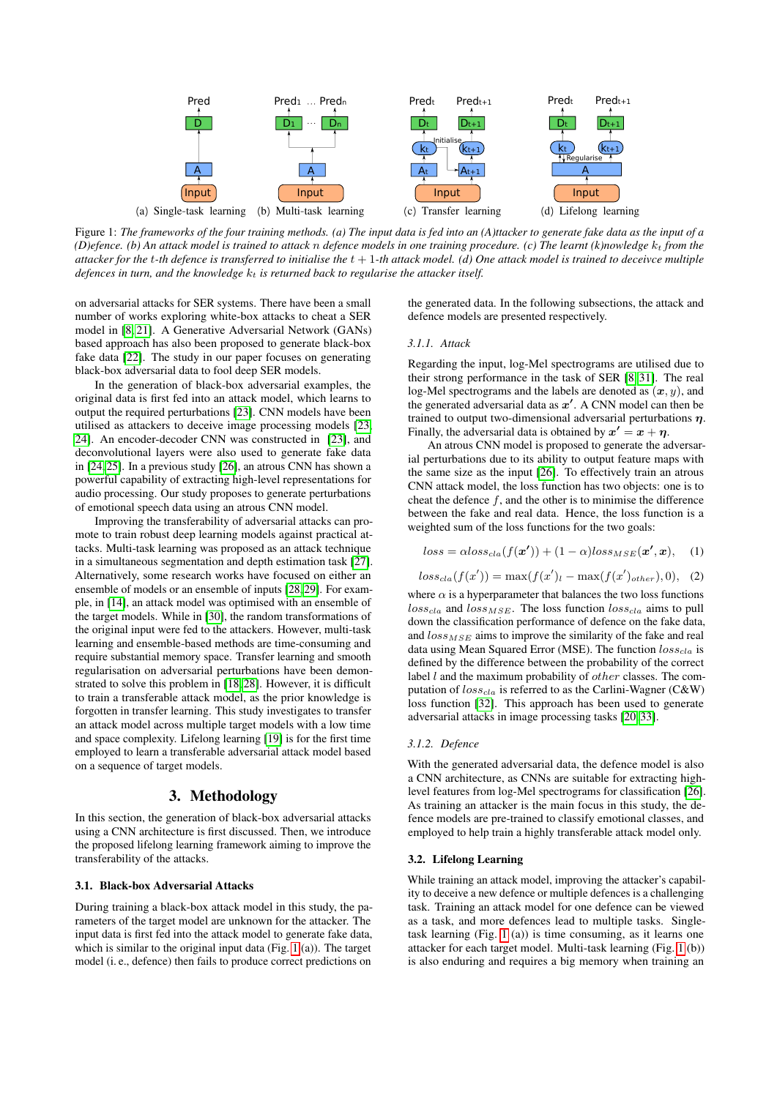<span id="page-1-0"></span>

Figure 1: *The frameworks of the four training methods. (a) The input data is fed into an (A)ttacker to generate fake data as the input of a*  $(D)$ efence. (b) An attack model is trained to attack n defence models in one training procedure. (c) The learnt  $(k)$  nowledge  $k_t$  from the *attacker for the* t*-th defence is transferred to initialise the* t + 1*-th attack model. (d) One attack model is trained to deceivce multiple defences in turn, and the knowledge*  $k_t$  *is returned back to regularise the attacker itself.* 

on adversarial attacks for SER systems. There have been a small number of works exploring white-box attacks to cheat a SER model in [\[8,](#page-4-7) [21\]](#page-4-20). A Generative Adversarial Network (GANs) based approach has also been proposed to generate black-box fake data [\[22\]](#page-4-21). The study in our paper focuses on generating black-box adversarial data to fool deep SER models.

In the generation of black-box adversarial examples, the original data is first fed into an attack model, which learns to output the required perturbations [\[23\]](#page-4-22). CNN models have been utilised as attackers to deceive image processing models [\[23,](#page-4-22) [24\]](#page-4-23). An encoder-decoder CNN was constructed in [\[23\]](#page-4-22), and deconvolutional layers were also used to generate fake data in [\[24,](#page-4-23) [25\]](#page-4-24). In a previous study [\[26\]](#page-4-25), an atrous CNN has shown a powerful capability of extracting high-level representations for audio processing. Our study proposes to generate perturbations of emotional speech data using an atrous CNN model.

Improving the transferability of adversarial attacks can promote to train robust deep learning models against practical attacks. Multi-task learning was proposed as an attack technique in a simultaneous segmentation and depth estimation task [\[27\]](#page-4-26). Alternatively, some research works have focused on either an ensemble of models or an ensemble of inputs [\[28,](#page-4-27) [29\]](#page-4-28). For example, in [\[14\]](#page-4-13), an attack model was optimised with an ensemble of the target models. While in [\[30\]](#page-4-29), the random transformations of the original input were fed to the attackers. However, multi-task learning and ensemble-based methods are time-consuming and require substantial memory space. Transfer learning and smooth regularisation on adversarial perturbations have been demonstrated to solve this problem in [\[18,](#page-4-17) [28\]](#page-4-27). However, it is difficult to train a transferable attack model, as the prior knowledge is forgotten in transfer learning. This study investigates to transfer an attack model across multiple target models with a low time and space complexity. Lifelong learning [\[19\]](#page-4-18) is for the first time employed to learn a transferable adversarial attack model based on a sequence of target models.

### 3. Methodology

In this section, the generation of black-box adversarial attacks using a CNN architecture is first discussed. Then, we introduce the proposed lifelong learning framework aiming to improve the transferability of the attacks.

#### 3.1. Black-box Adversarial Attacks

During training a black-box attack model in this study, the parameters of the target model are unknown for the attacker. The input data is first fed into the attack model to generate fake data, which is similar to the original input data (Fig. [1](#page-1-0) (a)). The target model (i. e., defence) then fails to produce correct predictions on

the generated data. In the following subsections, the attack and defence models are presented respectively.

#### <span id="page-1-2"></span>*3.1.1. Attack*

Regarding the input, log-Mel spectrograms are utilised due to their strong performance in the task of SER [\[8,](#page-4-7) [31\]](#page-4-30). The real log-Mel spectrograms and the labels are denoted as  $(x, y)$ , and the generated adversarial data as  $x'$ . A CNN model can then be trained to output two-dimensional adversarial perturbations  $\eta$ . Finally, the adversarial data is obtained by  $x' = x + \eta$ .

An atrous CNN model is proposed to generate the adversarial perturbations due to its ability to output feature maps with the same size as the input [\[26\]](#page-4-25). To effectively train an atrous CNN attack model, the loss function has two objects: one is to cheat the defence  $f$ , and the other is to minimise the difference between the fake and real data. Hence, the loss function is a weighted sum of the loss functions for the two goals:

<span id="page-1-1"></span>
$$
loss = \alpha loss_{cla}(f(\boldsymbol{x'})) + (1 - \alpha) loss_{MSE}(\boldsymbol{x'}, \boldsymbol{x}), \quad (1)
$$

$$
loss_{cla}(f(x')) = \max(f(x')_l - \max(f(x')_{other}), 0), (2)
$$

where  $\alpha$  is a hyperparameter that balances the two loss functions  $loss_{cla}$  and  $loss_{MSE}$ . The loss function  $loss_{cla}$  aims to pull down the classification performance of defence on the fake data, and  $loss_{MSE}$  aims to improve the similarity of the fake and real data using Mean Squared Error (MSE). The function  $loss_{cla}$  is defined by the difference between the probability of the correct label  $l$  and the maximum probability of *other* classes. The computation of  $loss_{cla}$  is referred to as the Carlini-Wagner (C&W) loss function [\[32\]](#page-4-31). This approach has been used to generate adversarial attacks in image processing tasks [\[20,](#page-4-19) [33\]](#page-4-32).

#### *3.1.2. Defence*

With the generated adversarial data, the defence model is also a CNN architecture, as CNNs are suitable for extracting highlevel features from log-Mel spectrograms for classification [\[26\]](#page-4-25). As training an attacker is the main focus in this study, the defence models are pre-trained to classify emotional classes, and employed to help train a highly transferable attack model only.

#### 3.2. Lifelong Learning

While training an attack model, improving the attacker's capability to deceive a new defence or multiple defences is a challenging task. Training an attack model for one defence can be viewed as a task, and more defences lead to multiple tasks. Singletask learning (Fig. [1](#page-1-0) (a)) is time consuming, as it learns one attacker for each target model. Multi-task learning (Fig. [1](#page-1-0) (b)) is also enduring and requires a big memory when training an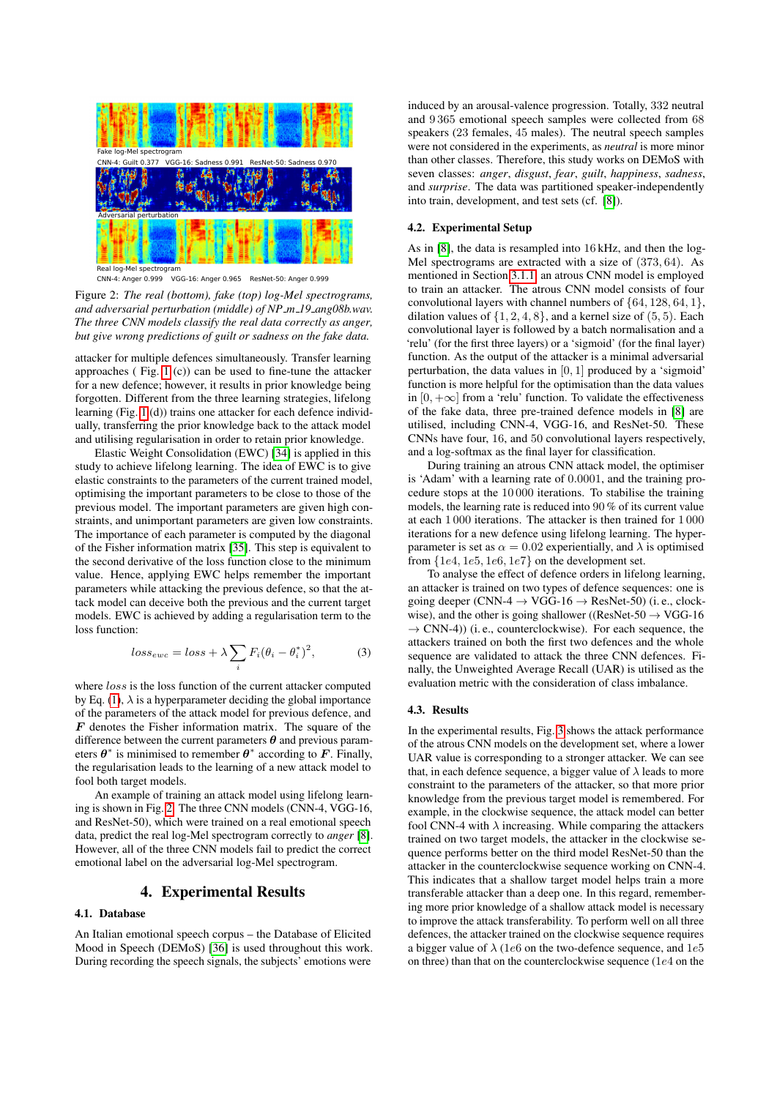<span id="page-2-0"></span>

Figure 2: *The real (bottom), fake (top) log-Mel spectrograms, and adversarial perturbation (middle) of NP m 19 ang08b.wav. The three CNN models classify the real data correctly as anger, but give wrong predictions of guilt or sadness on the fake data.*

attacker for multiple defences simultaneously. Transfer learning approaches ( Fig. [1](#page-1-0) (c)) can be used to fine-tune the attacker for a new defence; however, it results in prior knowledge being forgotten. Different from the three learning strategies, lifelong learning (Fig. [1](#page-1-0) (d)) trains one attacker for each defence individually, transferring the prior knowledge back to the attack model and utilising regularisation in order to retain prior knowledge.

Elastic Weight Consolidation (EWC) [\[34\]](#page-4-33) is applied in this study to achieve lifelong learning. The idea of EWC is to give elastic constraints to the parameters of the current trained model, optimising the important parameters to be close to those of the previous model. The important parameters are given high constraints, and unimportant parameters are given low constraints. The importance of each parameter is computed by the diagonal of the Fisher information matrix [\[35\]](#page-4-34). This step is equivalent to the second derivative of the loss function close to the minimum value. Hence, applying EWC helps remember the important parameters while attacking the previous defence, so that the attack model can deceive both the previous and the current target models. EWC is achieved by adding a regularisation term to the loss function:

$$
loss_{ewc} = loss + \lambda \sum_{i} F_i (\theta_i - \theta_i^*)^2, \tag{3}
$$

where *loss* is the loss function of the current attacker computed by Eq. [\(1\)](#page-1-1),  $\lambda$  is a hyperparameter deciding the global importance of the parameters of the attack model for previous defence, and  $\bf{F}$  denotes the Fisher information matrix. The square of the difference between the current parameters  $\theta$  and previous parameters  $\theta^*$  is minimised to remember  $\theta^*$  according to F. Finally, the regularisation leads to the learning of a new attack model to fool both target models.

An example of training an attack model using lifelong learning is shown in Fig. [2.](#page-2-0) The three CNN models (CNN-4, VGG-16, and ResNet-50), which were trained on a real emotional speech data, predict the real log-Mel spectrogram correctly to *anger* [\[8\]](#page-4-7). However, all of the three CNN models fail to predict the correct emotional label on the adversarial log-Mel spectrogram.

## 4. Experimental Results

#### 4.1. Database

An Italian emotional speech corpus – the Database of Elicited Mood in Speech (DEMoS) [\[36\]](#page-4-35) is used throughout this work. During recording the speech signals, the subjects' emotions were induced by an arousal-valence progression. Totally, 332 neutral and 9 365 emotional speech samples were collected from 68 speakers (23 females, 45 males). The neutral speech samples were not considered in the experiments, as *neutral* is more minor than other classes. Therefore, this study works on DEMoS with seven classes: *anger*, *disgust*, *fear*, *guilt*, *happiness*, *sadness*, and *surprise*. The data was partitioned speaker-independently into train, development, and test sets (cf. [\[8\]](#page-4-7)).

#### 4.2. Experimental Setup

As in [\[8\]](#page-4-7), the data is resampled into 16 kHz, and then the log-Mel spectrograms are extracted with a size of (373, 64). As mentioned in Section [3.1.1,](#page-1-2) an atrous CNN model is employed to train an attacker. The atrous CNN model consists of four convolutional layers with channel numbers of  $\{64, 128, 64, 1\}$ , dilation values of  $\{1, 2, 4, 8\}$ , and a kernel size of  $(5, 5)$ . Each convolutional layer is followed by a batch normalisation and a 'relu' (for the first three layers) or a 'sigmoid' (for the final layer) function. As the output of the attacker is a minimal adversarial perturbation, the data values in  $[0, 1]$  produced by a 'sigmoid' function is more helpful for the optimisation than the data values in  $[0, +\infty]$  from a 'relu' function. To validate the effectiveness of the fake data, three pre-trained defence models in [\[8\]](#page-4-7) are utilised, including CNN-4, VGG-16, and ResNet-50. These CNNs have four, 16, and 50 convolutional layers respectively, and a log-softmax as the final layer for classification.

During training an atrous CNN attack model, the optimiser is 'Adam' with a learning rate of 0.0001, and the training procedure stops at the 10 000 iterations. To stabilise the training models, the learning rate is reduced into 90 % of its current value at each 1 000 iterations. The attacker is then trained for 1 000 iterations for a new defence using lifelong learning. The hyperparameter is set as  $\alpha = 0.02$  experientially, and  $\lambda$  is optimised from  $\{1e4, 1e5, 1e6, 1e7\}$  on the development set.

To analyse the effect of defence orders in lifelong learning, an attacker is trained on two types of defence sequences: one is going deeper (CNN-4  $\rightarrow$  VGG-16  $\rightarrow$  ResNet-50) (i.e., clockwise), and the other is going shallower ((ResNet-50  $\rightarrow$  VGG-16)  $\rightarrow$  CNN-4)) (i.e., counterclockwise). For each sequence, the attackers trained on both the first two defences and the whole sequence are validated to attack the three CNN defences. Finally, the Unweighted Average Recall (UAR) is utilised as the evaluation metric with the consideration of class imbalance.

#### 4.3. Results

In the experimental results, Fig. [3](#page-3-0) shows the attack performance of the atrous CNN models on the development set, where a lower UAR value is corresponding to a stronger attacker. We can see that, in each defence sequence, a bigger value of  $\lambda$  leads to more constraint to the parameters of the attacker, so that more prior knowledge from the previous target model is remembered. For example, in the clockwise sequence, the attack model can better fool CNN-4 with  $\lambda$  increasing. While comparing the attackers trained on two target models, the attacker in the clockwise sequence performs better on the third model ResNet-50 than the attacker in the counterclockwise sequence working on CNN-4. This indicates that a shallow target model helps train a more transferable attacker than a deep one. In this regard, remembering more prior knowledge of a shallow attack model is necessary to improve the attack transferability. To perform well on all three defences, the attacker trained on the clockwise sequence requires a bigger value of  $\lambda$  (1e6 on the two-defence sequence, and 1e5 on three) than that on the counterclockwise sequence (1e4 on the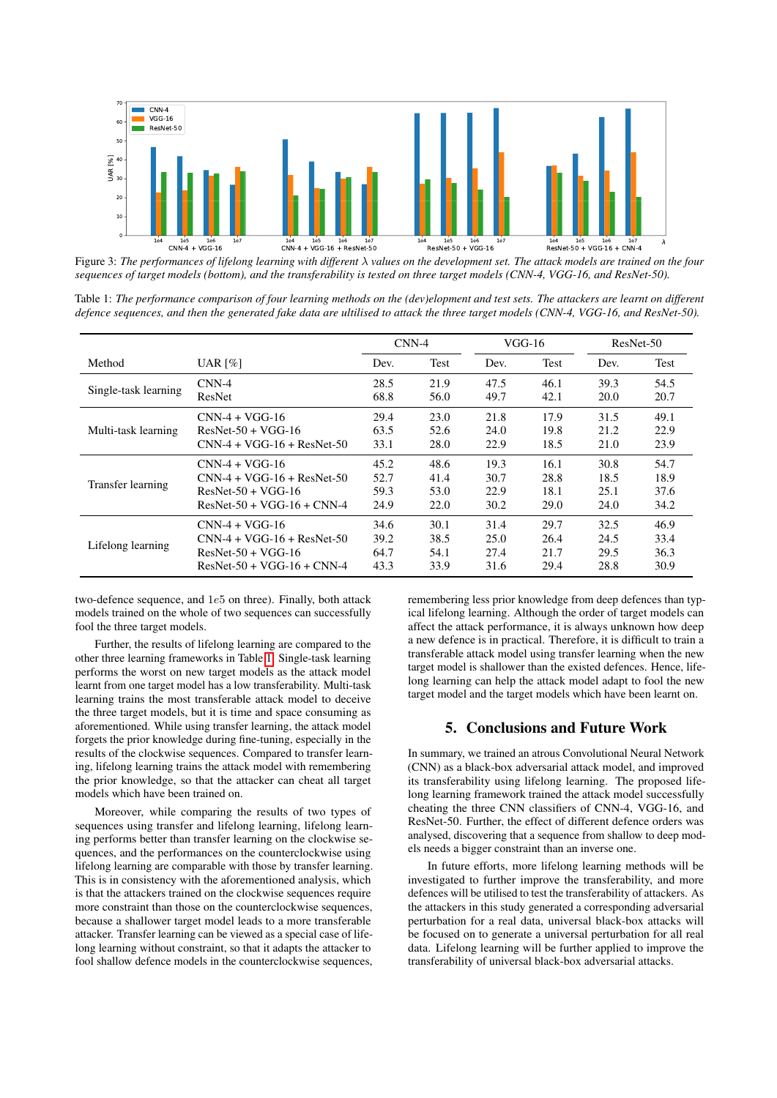<span id="page-3-0"></span>

Figure 3: *The performances of lifelong learning with different* λ *values on the development set. The attack models are trained on the four sequences of target models (bottom), and the transferability is tested on three target models (CNN-4, VGG-16, and ResNet-50).*

<span id="page-3-1"></span>Table 1: *The performance comparison of four learning methods on the (dev)elopment and test sets. The attackers are learnt on different defence sequences, and then the generated fake data are ultilised to attack the three target models (CNN-4, VGG-16, and ResNet-50).*

|                      |                              | $CNN-4$ |             | $VGG-16$ |      | ResNet-50 |      |
|----------------------|------------------------------|---------|-------------|----------|------|-----------|------|
| Method               | UAR $[%]$                    | Dev.    | <b>Test</b> | Dev.     | Test | Dev.      | Test |
| Single-task learning | $CNN-4$                      | 28.5    | 21.9        | 47.5     | 46.1 | 39.3      | 54.5 |
|                      | ResNet                       | 68.8    | 56.0        | 49.7     | 42.1 | 20.0      | 20.7 |
| Multi-task learning  | $CNN-4 + VGG-16$             | 29.4    | 23.0        | 21.8     | 17.9 | 31.5      | 49.1 |
|                      | $ResNet-50 + VGG-16$         | 63.5    | 52.6        | 24.0     | 19.8 | 21.2      | 22.9 |
|                      | $CNN-4 + VGG-16 + ResNet-50$ | 33.1    | 28.0        | 22.9     | 18.5 | 21.0      | 23.9 |
| Transfer learning    | $CNN-4 + VGG-16$             | 45.2    | 48.6        | 19.3     | 16.1 | 30.8      | 54.7 |
|                      | $CNN-4 + VGG-16 + ResNet-50$ | 52.7    | 41.4        | 30.7     | 28.8 | 18.5      | 18.9 |
|                      | $ResNet-50 + VGG-16$         | 59.3    | 53.0        | 22.9     | 18.1 | 25.1      | 37.6 |
|                      | $ResNet-50 + VGG-16 + CNN-4$ | 24.9    | 22.0        | 30.2     | 29.0 | 24.0      | 34.2 |
| Lifelong learning    | $CNN-4 + VGG-16$             | 34.6    | 30.1        | 31.4     | 29.7 | 32.5      | 46.9 |
|                      | $CNN-4 + VGG-16 + ResNet-50$ | 39.2    | 38.5        | 25.0     | 26.4 | 24.5      | 33.4 |
|                      | $ResNet-50 + VGG-16$         | 64.7    | 54.1        | 27.4     | 21.7 | 29.5      | 36.3 |
|                      | $ResNet-50 + VGG-16 + CNN-4$ | 43.3    | 33.9        | 31.6     | 29.4 | 28.8      | 30.9 |

two-defence sequence, and 1e5 on three). Finally, both attack models trained on the whole of two sequences can successfully fool the three target models.

Further, the results of lifelong learning are compared to the other three learning frameworks in Table [1.](#page-3-1) Single-task learning performs the worst on new target models as the attack model learnt from one target model has a low transferability. Multi-task learning trains the most transferable attack model to deceive the three target models, but it is time and space consuming as aforementioned. While using transfer learning, the attack model forgets the prior knowledge during fine-tuning, especially in the results of the clockwise sequences. Compared to transfer learning, lifelong learning trains the attack model with remembering the prior knowledge, so that the attacker can cheat all target models which have been trained on.

Moreover, while comparing the results of two types of sequences using transfer and lifelong learning, lifelong learning performs better than transfer learning on the clockwise sequences, and the performances on the counterclockwise using lifelong learning are comparable with those by transfer learning. This is in consistency with the aforementioned analysis, which is that the attackers trained on the clockwise sequences require more constraint than those on the counterclockwise sequences, because a shallower target model leads to a more transferable attacker. Transfer learning can be viewed as a special case of lifelong learning without constraint, so that it adapts the attacker to fool shallow defence models in the counterclockwise sequences,

remembering less prior knowledge from deep defences than typical lifelong learning. Although the order of target models can affect the attack performance, it is always unknown how deep a new defence is in practical. Therefore, it is difficult to train a transferable attack model using transfer learning when the new target model is shallower than the existed defences. Hence, lifelong learning can help the attack model adapt to fool the new target model and the target models which have been learnt on.

## 5. Conclusions and Future Work

In summary, we trained an atrous Convolutional Neural Network (CNN) as a black-box adversarial attack model, and improved its transferability using lifelong learning. The proposed lifelong learning framework trained the attack model successfully cheating the three CNN classifiers of CNN-4, VGG-16, and ResNet-50. Further, the effect of different defence orders was analysed, discovering that a sequence from shallow to deep models needs a bigger constraint than an inverse one.

In future efforts, more lifelong learning methods will be investigated to further improve the transferability, and more defences will be utilised to test the transferability of attackers. As the attackers in this study generated a corresponding adversarial perturbation for a real data, universal black-box attacks will be focused on to generate a universal perturbation for all real data. Lifelong learning will be further applied to improve the transferability of universal black-box adversarial attacks.